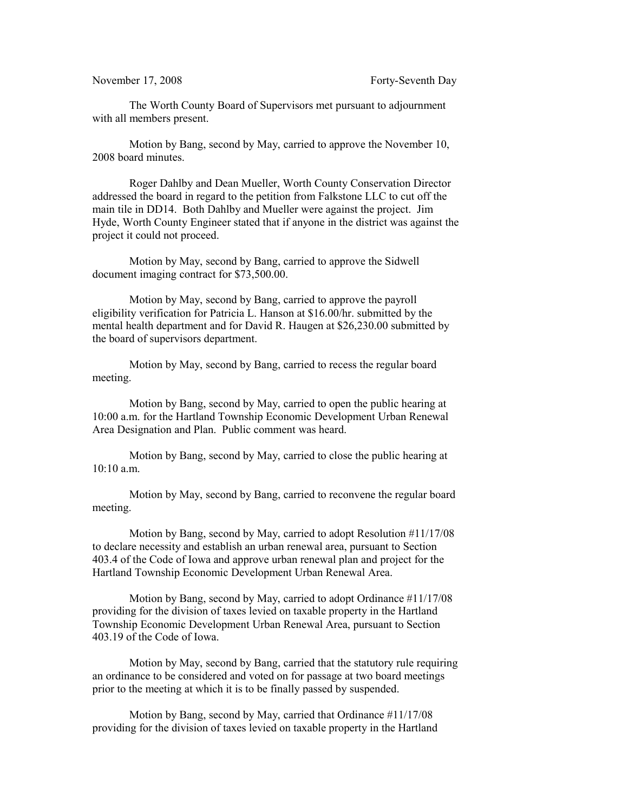## November 17, 2008 Forty-Seventh Day

The Worth County Board of Supervisors met pursuant to adjournment with all members present.

Motion by Bang, second by May, carried to approve the November 10, 2008 board minutes.

Roger Dahlby and Dean Mueller, Worth County Conservation Director addressed the board in regard to the petition from Falkstone LLC to cut off the main tile in DD14. Both Dahlby and Mueller were against the project. Jim Hyde, Worth County Engineer stated that if anyone in the district was against the project it could not proceed.

Motion by May, second by Bang, carried to approve the Sidwell document imaging contract for \$73,500.00.

Motion by May, second by Bang, carried to approve the payroll eligibility verification for Patricia L. Hanson at \$16.00/hr. submitted by the mental health department and for David R. Haugen at \$26,230.00 submitted by the board of supervisors department.

Motion by May, second by Bang, carried to recess the regular board meeting.

Motion by Bang, second by May, carried to open the public hearing at 10:00 a.m. for the Hartland Township Economic Development Urban Renewal Area Designation and Plan. Public comment was heard.

Motion by Bang, second by May, carried to close the public hearing at 10:10 a.m.

Motion by May, second by Bang, carried to reconvene the regular board meeting.

Motion by Bang, second by May, carried to adopt Resolution #11/17/08 to declare necessity and establish an urban renewal area, pursuant to Section 403.4 of the Code of Iowa and approve urban renewal plan and project for the Hartland Township Economic Development Urban Renewal Area.

Motion by Bang, second by May, carried to adopt Ordinance #11/17/08 providing for the division of taxes levied on taxable property in the Hartland Township Economic Development Urban Renewal Area, pursuant to Section 403.19 of the Code of Iowa.

Motion by May, second by Bang, carried that the statutory rule requiring an ordinance to be considered and voted on for passage at two board meetings prior to the meeting at which it is to be finally passed by suspended.

Motion by Bang, second by May, carried that Ordinance #11/17/08 providing for the division of taxes levied on taxable property in the Hartland